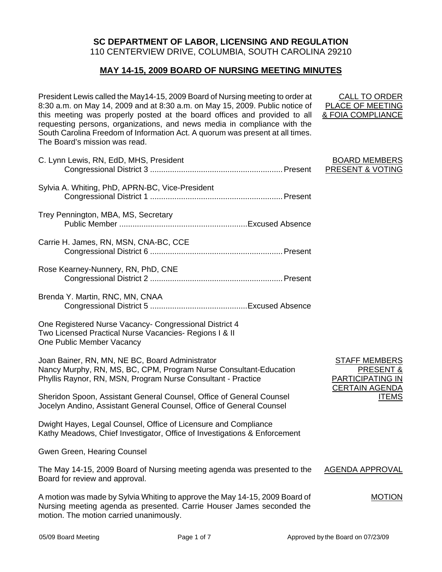# **SC DEPARTMENT OF LABOR, LICENSING AND REGULATION**

110 CENTERVIEW DRIVE, COLUMBIA, SOUTH CAROLINA 29210

## **MAY 14-15, 2009 BOARD OF NURSING MEETING MINUTES**

President Lewis called the May14-15, 2009 Board of Nursing meeting to order at 8:30 a.m. on May 14, 2009 and at 8:30 a.m. on May 15, 2009. Public notice of this meeting was properly posted at the board offices and provided to all requesting persons, organizations, and news media in compliance with the South Carolina Freedom of Information Act. A quorum was present at all times. The Board's mission was read.

| C. Lynn Lewis, RN, EdD, MHS, President                                                                                                                                                          | <b>BOARD MEMBERS</b><br>PRESENT & VOTING                                                                         |
|-------------------------------------------------------------------------------------------------------------------------------------------------------------------------------------------------|------------------------------------------------------------------------------------------------------------------|
| Sylvia A. Whiting, PhD, APRN-BC, Vice-President                                                                                                                                                 |                                                                                                                  |
| Trey Pennington, MBA, MS, Secretary                                                                                                                                                             |                                                                                                                  |
| Carrie H. James, RN, MSN, CNA-BC, CCE                                                                                                                                                           |                                                                                                                  |
| Rose Kearney-Nunnery, RN, PhD, CNE                                                                                                                                                              |                                                                                                                  |
| Brenda Y. Martin, RNC, MN, CNAA                                                                                                                                                                 |                                                                                                                  |
| One Registered Nurse Vacancy- Congressional District 4<br>Two Licensed Practical Nurse Vacancies- Regions I & II<br>One Public Member Vacancy                                                   |                                                                                                                  |
| Joan Bainer, RN, MN, NE BC, Board Administrator<br>Nancy Murphy, RN, MS, BC, CPM, Program Nurse Consultant-Education<br>Phyllis Raynor, RN, MSN, Program Nurse Consultant - Practice            | <b>STAFF MEMBERS</b><br><b>PRESENT &amp;</b><br><b>PARTICIPATING IN</b><br><b>CERTAIN AGENDA</b><br><b>ITEMS</b> |
| Sheridon Spoon, Assistant General Counsel, Office of General Counsel<br>Jocelyn Andino, Assistant General Counsel, Office of General Counsel                                                    |                                                                                                                  |
| Dwight Hayes, Legal Counsel, Office of Licensure and Compliance<br>Kathy Meadows, Chief Investigator, Office of Investigations & Enforcement                                                    |                                                                                                                  |
| Gwen Green, Hearing Counsel                                                                                                                                                                     |                                                                                                                  |
| The May 14-15, 2009 Board of Nursing meeting agenda was presented to the<br>Board for review and approval.                                                                                      | <b>AGENDA APPROVAL</b>                                                                                           |
| A motion was made by Sylvia Whiting to approve the May 14-15, 2009 Board of<br>Nursing meeting agenda as presented. Carrie Houser James seconded the<br>motion. The motion carried unanimously. | <b>MOTION</b>                                                                                                    |

PLACE OF MEETING & FOIA COMPLIANCE

CALL TO ORDER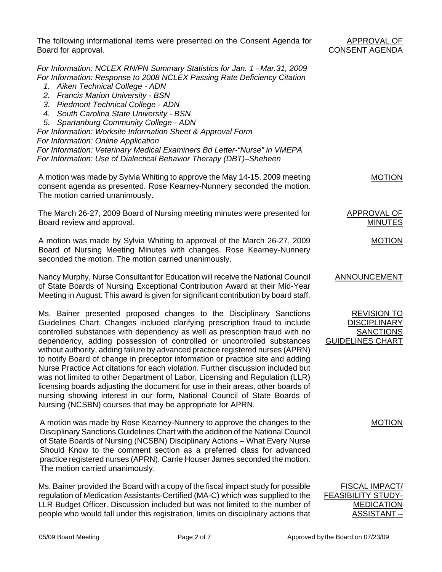The following informational items were presented on the Consent Agenda for Board for approval.

### APPROVAL OF CONSENT AGENDA

MOTION

MOTION

APPROVAL OF MINUTES

*For Information: NCLEX RN/PN Summary Statistics for Jan. 1 –Mar.31, 2009 For Information: Response to 2008 NCLEX Passing Rate Deficiency Citation* 

- *1. Aiken Technical College ADN*
- *2. Francis Marion University BSN*
- *3. Piedmont Technical College ADN*
- *4. South Carolina State University BSN*
- *5. Spartanburg Community College ADN*

*For Information: Worksite Information Sheet & Approval Form For Information: Online Application For Information: Veterinary Medical Examiners Bd Letter-"Nurse" in VMEPA* 

*For Information: Use of Dialectical Behavior Therapy (DBT)–Sheheen* 

A motion was made by Sylvia Whiting to approve the May 14-15, 2009 meeting consent agenda as presented. Rose Kearney-Nunnery seconded the motion. The motion carried unanimously.

The March 26-27, 2009 Board of Nursing meeting minutes were presented for Board review and approval.

A motion was made by Sylvia Whiting to approval of the March 26-27, 2009 Board of Nursing Meeting Minutes with changes. Rose Kearney-Nunnery seconded the motion. The motion carried unanimously.

Nancy Murphy, Nurse Consultant for Education will receive the National Council of State Boards of Nursing Exceptional Contribution Award at their Mid-Year Meeting in August. This award is given for significant contribution by board staff. ANNOUNCEMENT

Ms. Bainer presented proposed changes to the Disciplinary Sanctions Guidelines Chart. Changes included clarifying prescription fraud to include controlled substances with dependency as well as prescription fraud with no dependency, adding possession of controlled or uncontrolled substances without authority, adding failure by advanced practice registered nurses (APRN) to notify Board of change in preceptor information or practice site and adding Nurse Practice Act citations for each violation. Further discussion included but was not limited to other Department of Labor, Licensing and Regulation (LLR) licensing boards adjusting the document for use in their areas, other boards of nursing showing interest in our form, National Council of State Boards of Nursing (NCSBN) courses that may be appropriate for APRN.

A motion was made by Rose Kearney-Nunnery to approve the changes to the Disciplinary Sanctions Guidelines Chart with the addition of the National Council of State Boards of Nursing (NCSBN) Disciplinary Actions – What Every Nurse Should Know to the comment section as a preferred class for advanced practice registered nurses (APRN). Carrie Houser James seconded the motion. The motion carried unanimously.

Ms. Bainer provided the Board with a copy of the fiscal impact study for possible regulation of Medication Assistants-Certified (MA-C) which was supplied to the LLR Budget Officer. Discussion included but was not limited to the number of people who would fall under this registration, limits on disciplinary actions that

**DISCIPLINARY** SANCTIONS GUIDELINES CHART

REVISION TO

MOTION

FISCAL IMPACT/ FEASIBILITY STUDY-MEDICATION ASSISTANT –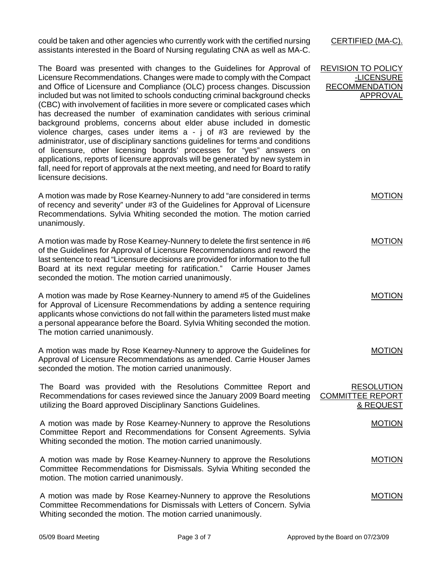could be taken and other agencies who currently work with the certified nursing assistants interested in the Board of Nursing regulating CNA as well as MA-C.

The Board was presented with changes to the Guidelines for Approval of Licensure Recommendations. Changes were made to comply with the Compact and Office of Licensure and Compliance (OLC) process changes. Discussion included but was not limited to schools conducting criminal background checks (CBC) with involvement of facilities in more severe or complicated cases which has decreased the number of examination candidates with serious criminal background problems, concerns about elder abuse included in domestic violence charges, cases under items a - j of #3 are reviewed by the administrator, use of disciplinary sanctions guidelines for terms and conditions of licensure, other licensing boards' processes for "yes" answers on applications, reports of licensure approvals will be generated by new system in fall, need for report of approvals at the next meeting, and need for Board to ratify licensure decisions.

A motion was made by Rose Kearney-Nunnery to add "are considered in terms of recency and severity" under #3 of the Guidelines for Approval of Licensure Recommendations. Sylvia Whiting seconded the motion. The motion carried unanimously. MOTION

A motion was made by Rose Kearney-Nunnery to delete the first sentence in #6 of the Guidelines for Approval of Licensure Recommendations and reword the last sentence to read "Licensure decisions are provided for information to the full Board at its next regular meeting for ratification." Carrie Houser James seconded the motion. The motion carried unanimously.

A motion was made by Rose Kearney-Nunnery to amend #5 of the Guidelines for Approval of Licensure Recommendations by adding a sentence requiring applicants whose convictions do not fall within the parameters listed must make a personal appearance before the Board. Sylvia Whiting seconded the motion. The motion carried unanimously.

A motion was made by Rose Kearney-Nunnery to approve the Guidelines for Approval of Licensure Recommendations as amended. Carrie Houser James seconded the motion. The motion carried unanimously.

The Board was provided with the Resolutions Committee Report and Recommendations for cases reviewed since the January 2009 Board meeting utilizing the Board approved Disciplinary Sanctions Guidelines.

A motion was made by Rose Kearney-Nunnery to approve the Resolutions Committee Report and Recommendations for Consent Agreements. Sylvia Whiting seconded the motion. The motion carried unanimously.

A motion was made by Rose Kearney-Nunnery to approve the Resolutions Committee Recommendations for Dismissals. Sylvia Whiting seconded the motion. The motion carried unanimously.

A motion was made by Rose Kearney-Nunnery to approve the Resolutions Committee Recommendations for Dismissals with Letters of Concern. Sylvia Whiting seconded the motion. The motion carried unanimously. MOTION

CERTIFIED (MA-C).

REVISION TO POLICY

-LICENSURE RECOMMENDATION APPROVAL

MOTION

MOTION

MOTION

RESOLUTION

& REQUEST

MOTION

MOTION

COMMITTEE REPORT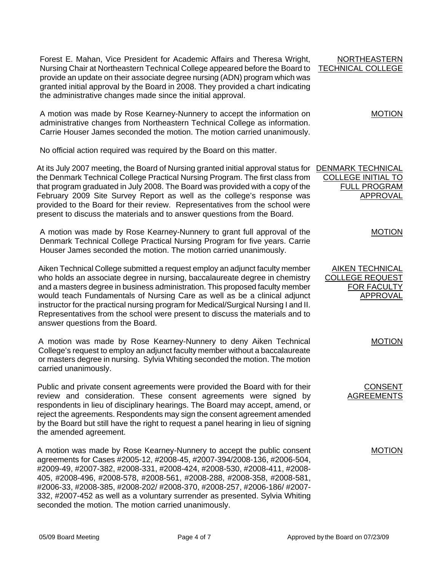Forest E. Mahan, Vice President for Academic Affairs and Theresa Wright, Nursing Chair at Northeastern Technical College appeared before the Board to provide an update on their associate degree nursing (ADN) program which was granted initial approval by the Board in 2008. They provided a chart indicating the administrative changes made since the initial approval.

A motion was made by Rose Kearney-Nunnery to accept the information on administrative changes from Northeastern Technical College as information. Carrie Houser James seconded the motion. The motion carried unanimously.

No official action required was required by the Board on this matter.

At its July 2007 meeting, the Board of Nursing granted initial approval status for **DENMARK TECHNICAL** the Denmark Technical College Practical Nursing Program. The first class from that program graduated in July 2008. The Board was provided with a copy of the February 2009 Site Survey Report as well as the college's response was provided to the Board for their review. Representatives from the school were present to discuss the materials and to answer questions from the Board.

A motion was made by Rose Kearney-Nunnery to grant full approval of the Denmark Technical College Practical Nursing Program for five years. Carrie Houser James seconded the motion. The motion carried unanimously.

Aiken Technical College submitted a request employ an adjunct faculty member who holds an associate degree in nursing, baccalaureate degree in chemistry and a masters degree in business administration. This proposed faculty member would teach Fundamentals of Nursing Care as well as be a clinical adjunct instructor for the practical nursing program for Medical/Surgical Nursing I and II. Representatives from the school were present to discuss the materials and to answer questions from the Board.

A motion was made by Rose Kearney-Nunnery to deny Aiken Technical College's request to employ an adjunct faculty member without a baccalaureate or masters degree in nursing. Sylvia Whiting seconded the motion. The motion carried unanimously.

Public and private consent agreements were provided the Board with for their review and consideration. These consent agreements were signed by respondents in lieu of disciplinary hearings. The Board may accept, amend, or reject the agreements. Respondents may sign the consent agreement amended by the Board but still have the right to request a panel hearing in lieu of signing the amended agreement.

A motion was made by Rose Kearney-Nunnery to accept the public consent agreements for Cases #2005-12, #2008-45, #2007-394/2008-136, #2006-504, #2009-49, #2007-382, #2008-331, #2008-424, #2008-530, #2008-411, #2008- 405, #2008-496, #2008-578, #2008-561, #2008-288, #2008-358, #2008-581, #2006-33, #2008-385, #2008-202/ #2008-370, #2008-257, #2006-186/ #2007- 332, #2007-452 as well as a voluntary surrender as presented. Sylvia Whiting seconded the motion. The motion carried unanimously.

| <b>NORTHEASTERN</b> |  |
|---------------------|--|
| TECHNICAL COLLEGE   |  |

MOTION

COLLEGE INITIAL TO FULL PROGRAM APPROVAL

MOTION

AIKEN TECHNICAL COLLEGE REQUEST FOR FACULTY APPROVAL

MOTION

CONSENT AGREEMENTS

MOTION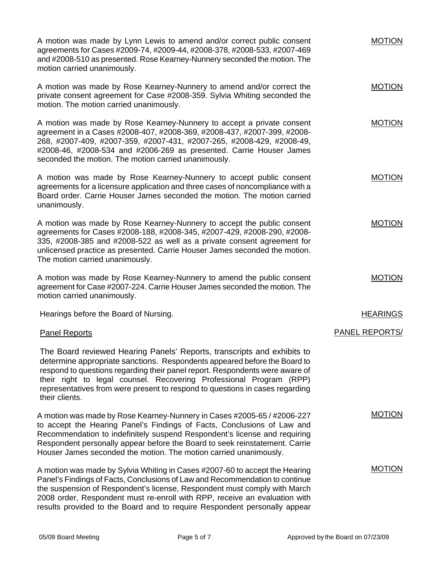A motion was made by Lynn Lewis to amend and/or correct public consent agreements for Cases #2009-74, #2009-44, #2008-378, #2008-533, #2007-469 and #2008-510 as presented. Rose Kearney-Nunnery seconded the motion. The motion carried unanimously. A motion was made by Rose Kearney-Nunnery to amend and/or correct the private consent agreement for Case #2008-359. Sylvia Whiting seconded the motion. The motion carried unanimously. A motion was made by Rose Kearney-Nunnery to accept a private consent agreement in a Cases #2008-407, #2008-369, #2008-437, #2007-399, #2008- 268, #2007-409, #2007-359, #2007-431, #2007-265, #2008-429, #2008-49, #2008-46, #2008-534 and #2006-269 as presented. Carrie Houser James seconded the motion. The motion carried unanimously. A motion was made by Rose Kearney-Nunnery to accept public consent agreements for a licensure application and three cases of noncompliance with a Board order. Carrie Houser James seconded the motion. The motion carried unanimously. A motion was made by Rose Kearney-Nunnery to accept the public consent agreements for Cases #2008-188, #2008-345, #2007-429, #2008-290, #2008- 335, #2008-385 and #2008-522 as well as a private consent agreement for unlicensed practice as presented. Carrie Houser James seconded the motion. The motion carried unanimously. A motion was made by Rose Kearney-Nunnery to amend the public consent agreement for Case #2007-224. Carrie Houser James seconded the motion. The motion carried unanimously. MOTION MOTION MOTION MOTION MOTION MOTION Hearings before the Board of Nursing. Panel Reports The Board reviewed Hearing Panels' Reports, transcripts and exhibits to determine appropriate sanctions. Respondents appeared before the Board to respond to questions regarding their panel report. Respondents were aware of their right to legal counsel. Recovering Professional Program (RPP) representatives from were present to respond to questions in cases regarding their clients. A motion was made by Rose Kearney-Nunnery in Cases #2005-65 / #2006-227 to accept the Hearing Panel's Findings of Facts, Conclusions of Law and Recommendation to indefinitely suspend Respondent's license and requiring Respondent personally appear before the Board to seek reinstatement. Carrie Houser James seconded the motion. The motion carried unanimously. A motion was made by Sylvia Whiting in Cases #2007-60 to accept the Hearing Panel's Findings of Facts, Conclusions of Law and Recommendation to continue the suspension of Respondent's license, Respondent must comply with March 2008 order, Respondent must re-enroll with RPP, receive an evaluation with results provided to the Board and to require Respondent personally appear **HEARINGS** PANEL REPORTS/ MOTION MOTION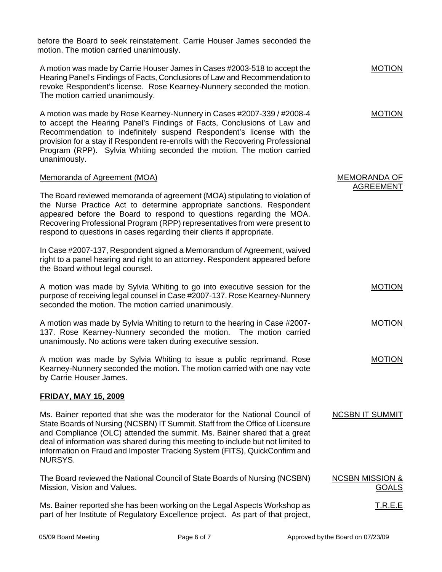before the Board to seek reinstatement. Carrie Houser James seconded the motion. The motion carried unanimously.

A motion was made by Carrie Houser James in Cases #2003-518 to accept the Hearing Panel's Findings of Facts, Conclusions of Law and Recommendation to revoke Respondent's license. Rose Kearney-Nunnery seconded the motion. The motion carried unanimously. MOTION

A motion was made by Rose Kearney-Nunnery in Cases #2007-339 / #2008-4 to accept the Hearing Panel's Findings of Facts, Conclusions of Law and Recommendation to indefinitely suspend Respondent's license with the provision for a stay if Respondent re-enrolls with the Recovering Professional Program (RPP). Sylvia Whiting seconded the motion. The motion carried unanimously.

#### Memoranda of Agreement (MOA)

The Board reviewed memoranda of agreement (MOA) stipulating to violation of the Nurse Practice Act to determine appropriate sanctions. Respondent appeared before the Board to respond to questions regarding the MOA. Recovering Professional Program (RPP) representatives from were present to respond to questions in cases regarding their clients if appropriate.

In Case #2007-137, Respondent signed a Memorandum of Agreement, waived right to a panel hearing and right to an attorney. Respondent appeared before the Board without legal counsel.

A motion was made by Sylvia Whiting to go into executive session for the purpose of receiving legal counsel in Case #2007-137. Rose Kearney-Nunnery seconded the motion. The motion carried unanimously.

A motion was made by Sylvia Whiting to return to the hearing in Case #2007- 137. Rose Kearney-Nunnery seconded the motion. The motion carried unanimously. No actions were taken during executive session.

A motion was made by Sylvia Whiting to issue a public reprimand. Rose Kearney-Nunnery seconded the motion. The motion carried with one nay vote by Carrie Houser James.

#### **FRIDAY, MAY 15, 2009**

Ms. Bainer reported that she was the moderator for the National Council of State Boards of Nursing (NCSBN) IT Summit. Staff from the Office of Licensure and Compliance (OLC) attended the summit. Ms. Bainer shared that a great deal of information was shared during this meeting to include but not limited to information on Fraud and Imposter Tracking System (FITS), QuickConfirm and NURSYS.

The Board reviewed the National Council of State Boards of Nursing (NCSBN) Mission, Vision and Values.

Ms. Bainer reported she has been working on the Legal Aspects Workshop as part of her Institute of Regulatory Excellence project. As part of that project, T.R.E.E

MOTION

MEMORANDA OF AGREEMENT

MOTION

MOTION

MOTION

NCSBN IT SUMMIT

NCSBN MISSION &

GOALS